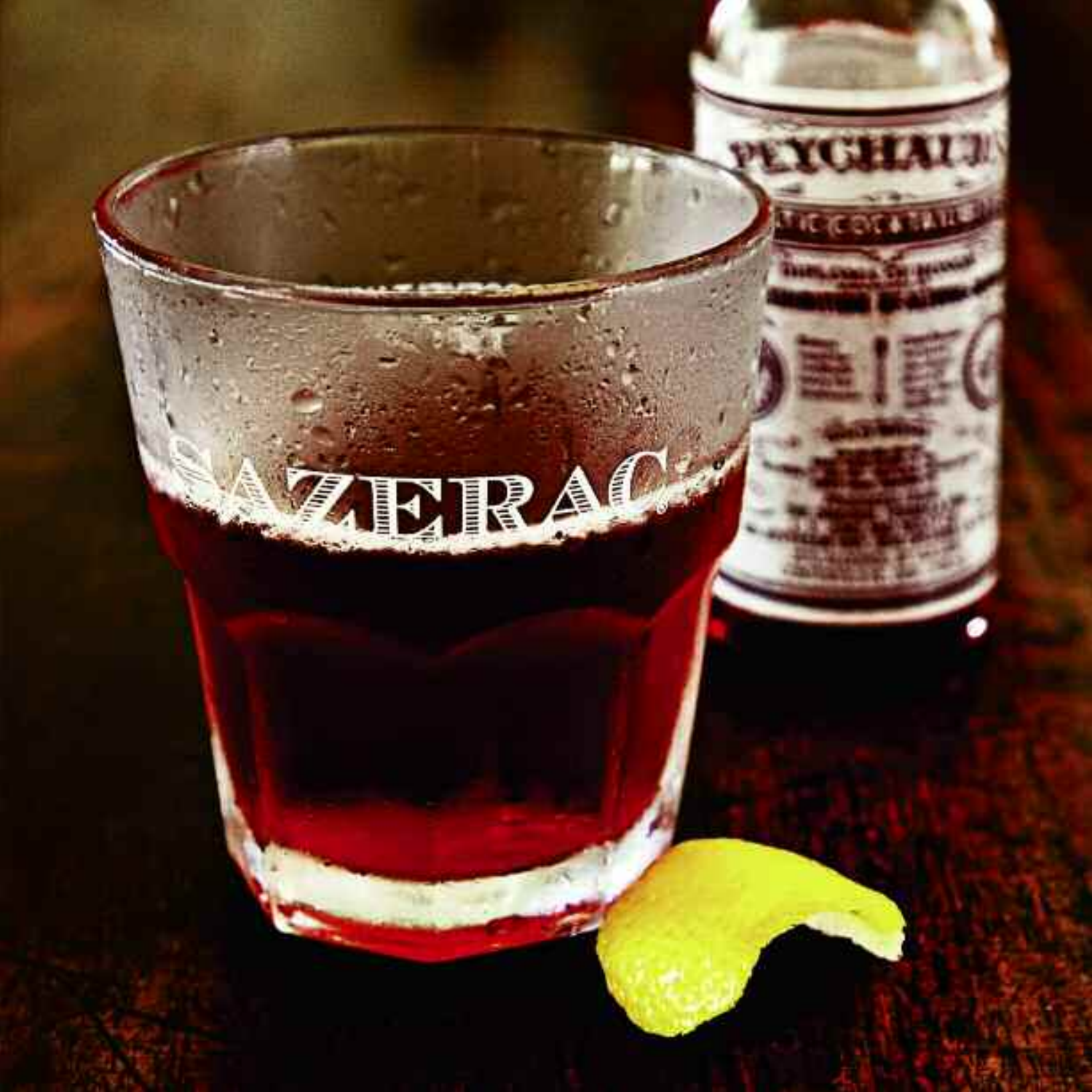# ERAC

PEYCHALL

 $\mathbf{U}$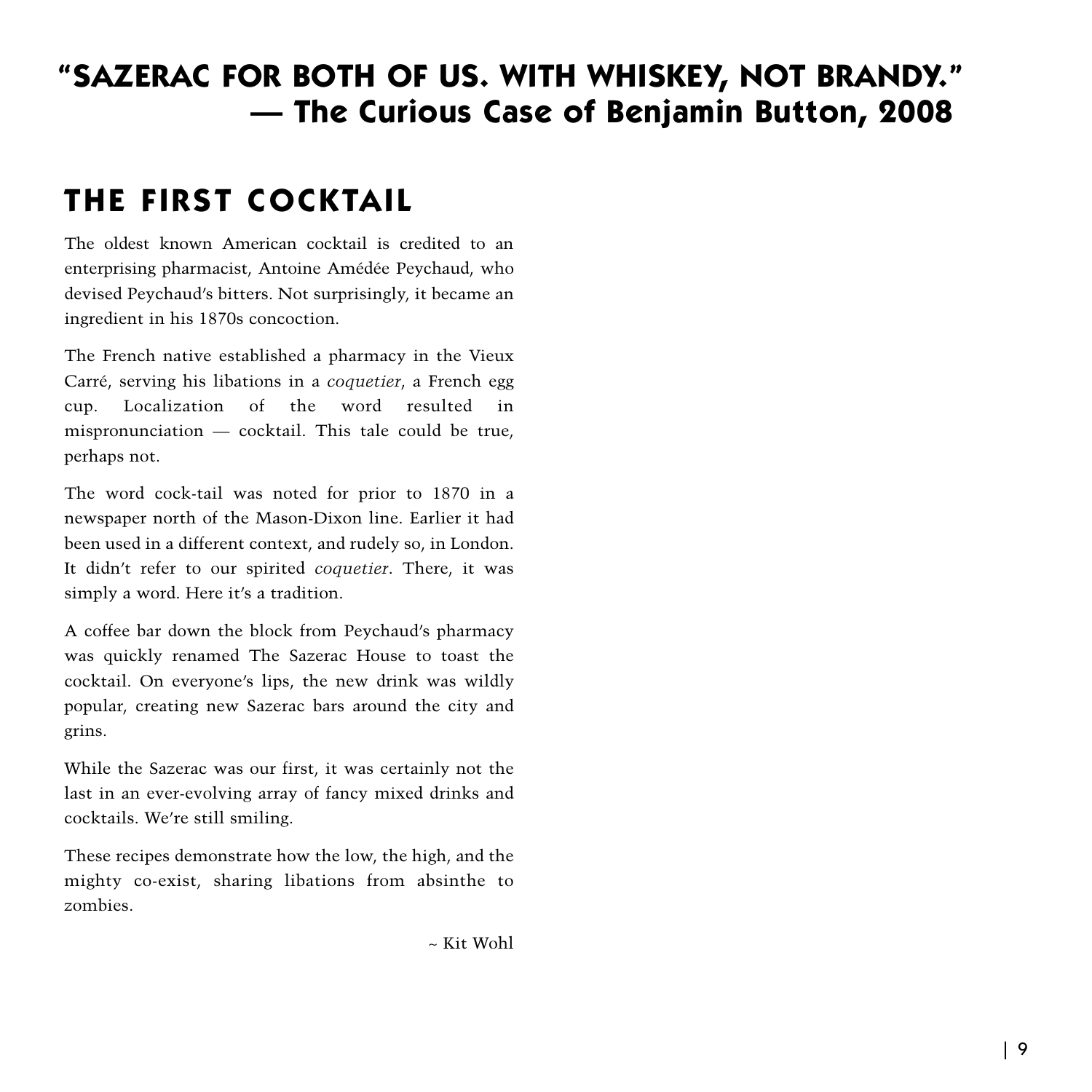## **"SAZERAC FOR BOTH OF US. WITH WHISKEY, NOT BRANDY." — The Curious Case of Benjamin Button, 2008**

## **THE FIRST COCKTAIL**

The oldest known American cocktail is credited to an enterprising pharmacist, Antoine Amédée Peychaud, who devised Peychaud's bitters. Not surprisingly, it became an ingredient in his 1870s concoction.

The French native established a pharmacy in the Vieux Carré, serving his libations in a *coquetier*, a French egg cup. Localization of the word resulted in mispronunciation — cocktail. This tale could be true, perhaps not.

The word cock-tail was noted for prior to 1870 in a newspaper north of the Mason-Dixon line. Earlier it had been used in a different context, and rudely so, in London. It didn't refer to our spirited *coquetier*. There, it was simply a word. Here it's a tradition.

A coffee bar down the block from Peychaud's pharmacy was quickly renamed The Sazerac House to toast the cocktail. On everyone's lips, the new drink was wildly popular, creating new Sazerac bars around the city and grins.

While the Sazerac was our first, it was certainly not the last in an ever-evolving array of fancy mixed drinks and cocktails. We're still smiling.

These recipes demonstrate how the low, the high, and the mighty co-exist, sharing libations from absinthe to zombies.

 $\sim$  Kit Wohl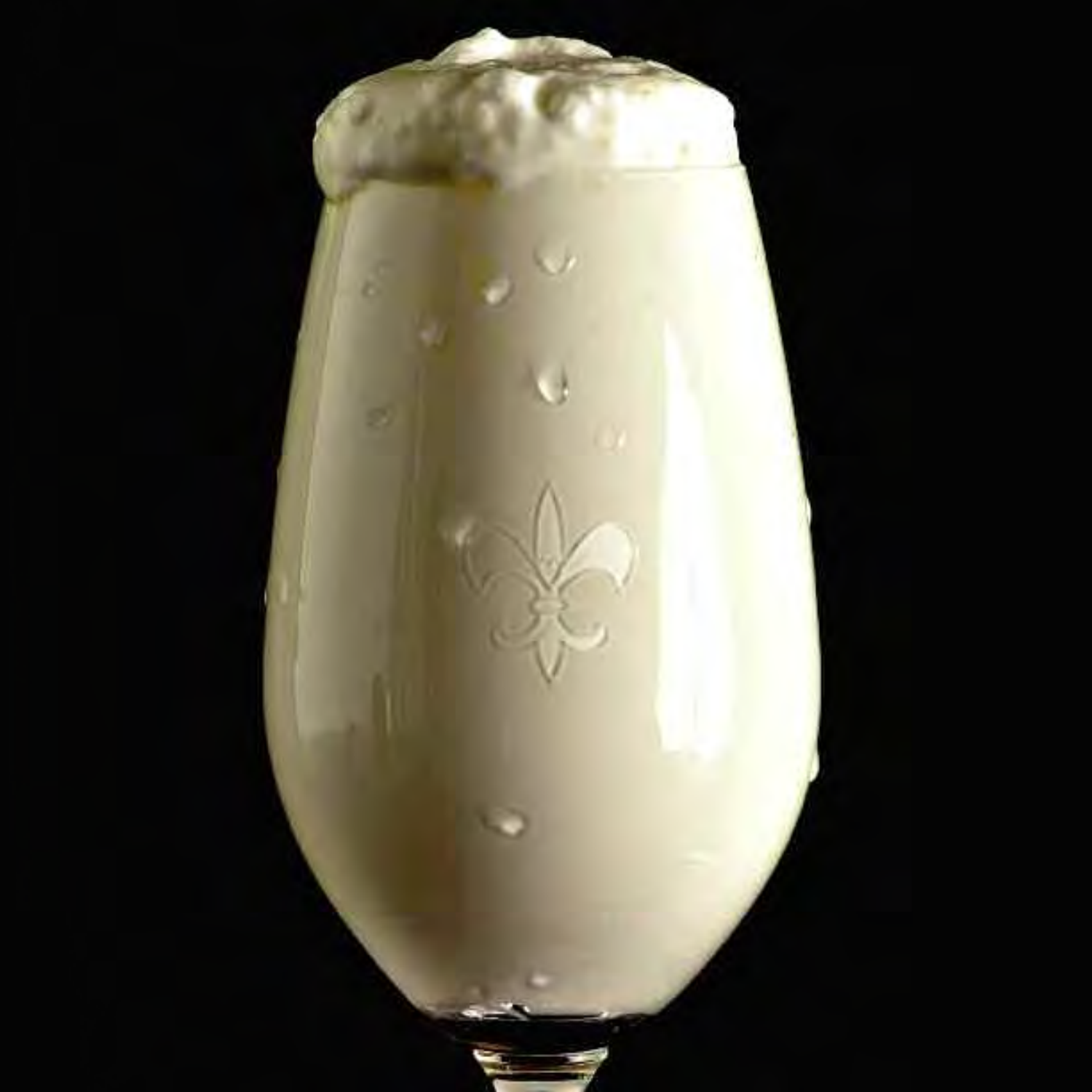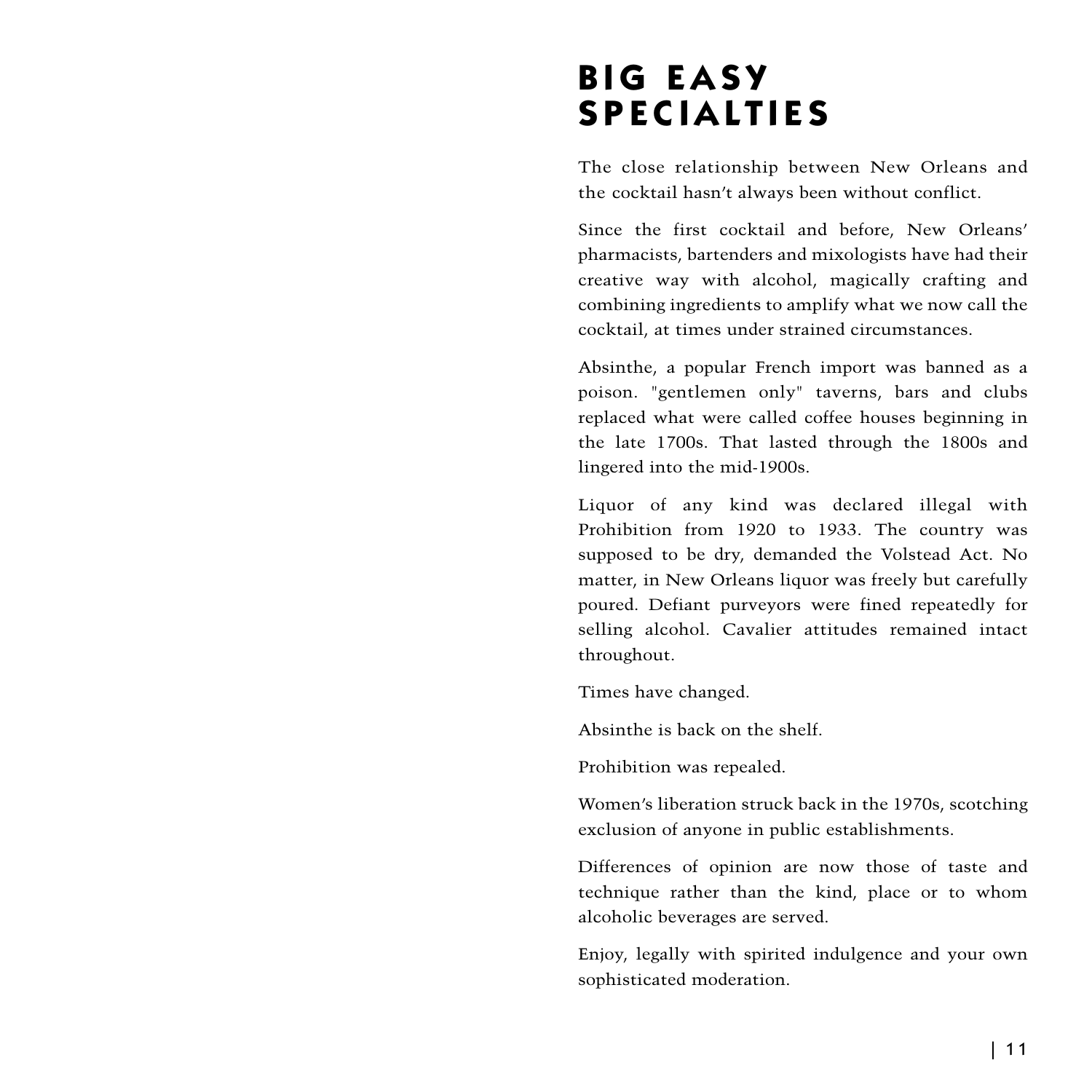# **B I G E A S Y S P E C I A LT I E S**

The close relationship between New Orleans and the cocktail hasn't always been without conflict.

Since the first cocktail and before, New Orleans' pharmacists, bartenders and mixologists have had their creative way with alcohol, magically crafting and combining ingredients to amplify what we now call the cocktail, at times under strained circumstances.

Absinthe, a popular French import was banned as a poison. "gentlemen only" taverns, bars and clubs replaced what were called coffee houses beginning in the late 1700s. That lasted through the 1800s and lingered into the mid-1900s.

Liquor of any kind was declared illegal with Prohibition from 1920 to 1933. The country was supposed to be dry, demanded the Volstead Act. No matter, in New Orleans liquor was freely but carefully poured. Defiant purveyors were fined repeatedly for selling alcohol. Cavalier attitudes remained intact throughout.

Times have changed.

Absinthe is back on the shelf.

Prohibition was repealed.

Women's liberation struck back in the 1970s, scotching exclusion of anyone in public establishments.

Differences of opinion are now those of taste and technique rather than the kind, place or to whom alcoholic beverages are served.

Enjoy, legally with spirited indulgence and your own sophisticated moderation.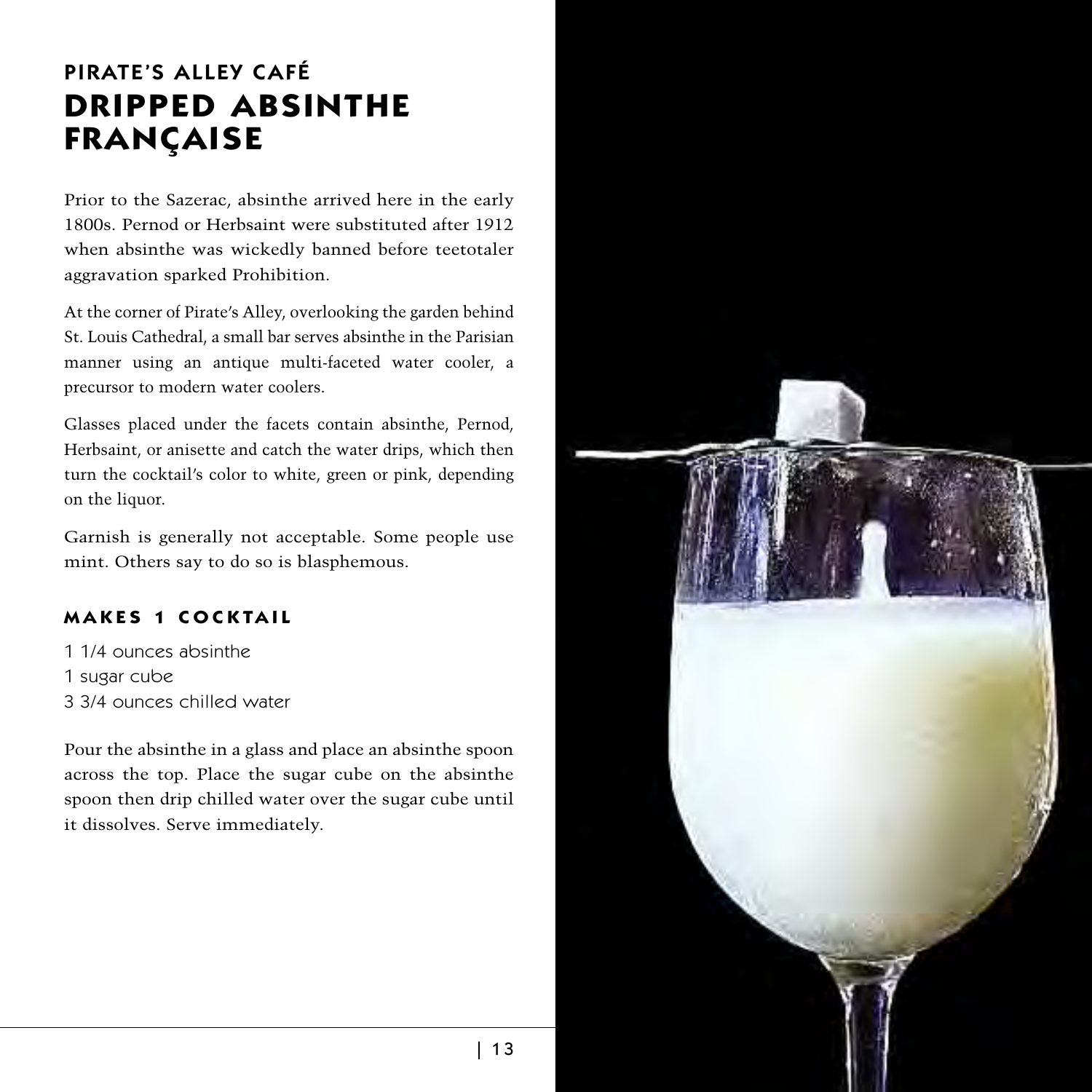## **PIRATE'S ALLEY CAFÉ DRIPPED ABSINTHE FRANÇAISE**

Prior to the Sazerac, absinthe arrived here in the early 1800s. Pernod or Herbsaint were substituted after 1912 when absinthe was wickedly banned before teetotaler aggravation sparked Prohibition.

At the corner of Pirate's Alley, overlooking the garden behind St. Louis Cathedral, a small bar serves absinthe in the Parisian manner using an antique multi-faceted water cooler, a precursor to modern water coolers.

Glasses placed under the facets contain absinthe, Pernod, Herbsaint, or anisette and catch the water drips, which then turn the cocktail's color to white, green or pink, depending on the liquor.

Garnish is generally not acceptable. Some people use mint. Others say to do so is blasphemous.

#### **MAKES 1 COCKTAIL**

1 1/4 ounces absinthe 1 sugar cube 3 3/4 ounces chilled water

Pour the absinthe in a glass and place an absinthe spoon across the top. Place the sugar cube on the absinthe spoon then drip chilled water over the sugar cube until it dissolves. Serve immediately.

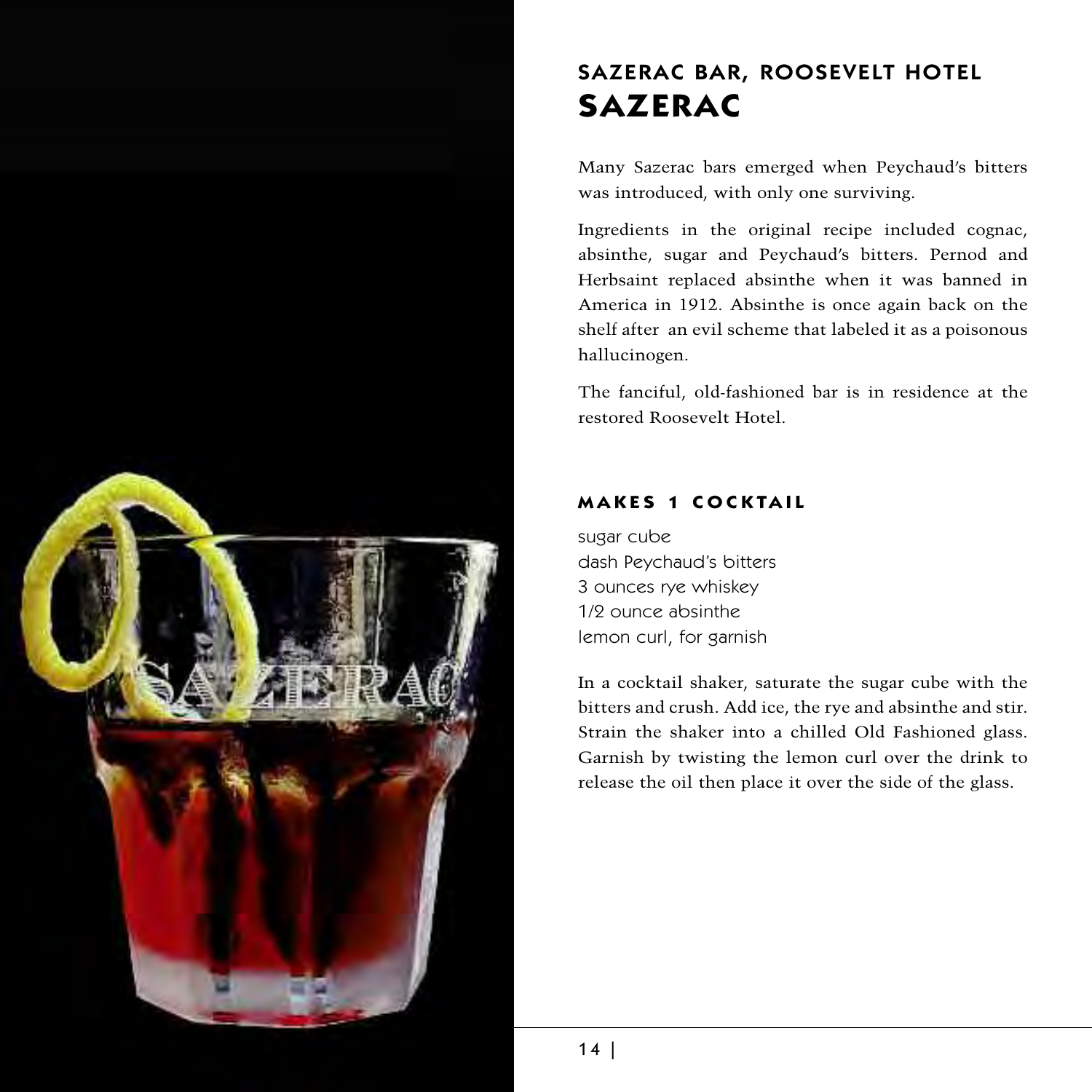

## **SAZERAC BAR, ROOSEVELT HOTEL SAZERAC**

Many Sazerac bars emerged when Peychaud's bitters was introduced, with only one surviving.

Ingredients in the original recipe included cognac, absinthe, sugar and Peychaud's bitters. Pernod and Herbsaint replaced absinthe when it was banned in America in 1912. Absinthe is once again back on the shelf after an evil scheme that labeled it as a poisonous hallucinogen.

The fanciful, old-fashioned bar is in residence at the restored Roosevelt Hotel.

#### **MAKES 1 COCKTAIL**

sugar cube dash Peychaud's bitters 3 ounces rye whiskey 1/2 ounce absinthe lemon curl, for garnish

In a cocktail shaker, saturate the sugar cube with the bitters and crush. Add ice, the rye and absinthe and stir. Strain the shaker into a chilled Old Fashioned glass. Garnish by twisting the lemon curl over the drink to release the oil then place it over the side of the glass.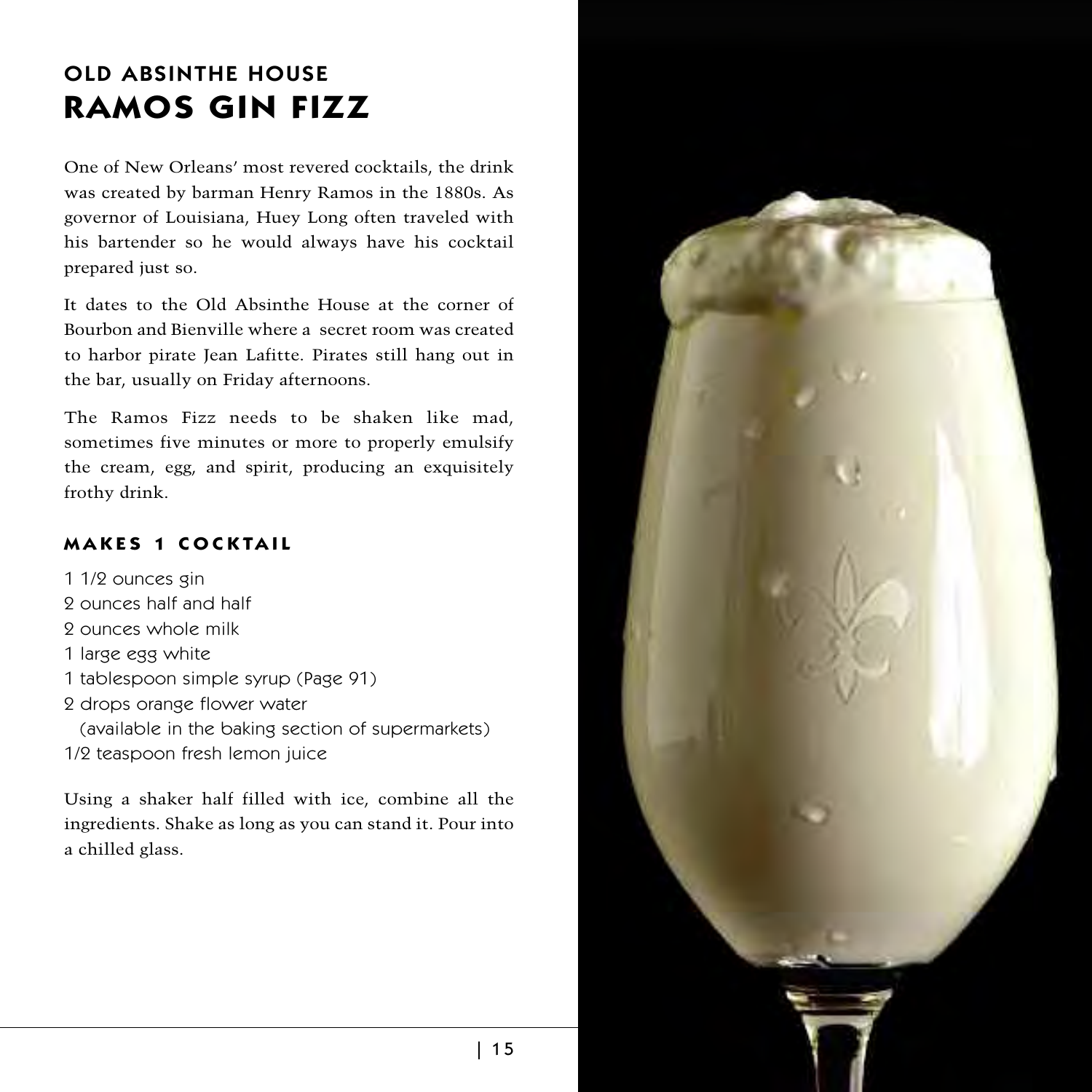## **OLD ABSINTHE HOUSE RAMOS GIN FIZZ**

One of New Orleans' most revered cocktails, the drink was created by barman Henry Ramos in the 1880s. As governor of Louisiana, Huey Long often traveled with his bartender so he would always have his cocktail prepared just so.

It dates to the Old Absinthe House at the corner of Bourbon and Bienville where a secret room was created to harbor pirate Jean Lafitte. Pirates still hang out in the bar, usually on Friday afternoons.

The Ramos Fizz needs to be shaken like mad, sometimes five minutes or more to properly emulsify the cream, egg, and spirit, producing an exquisitely frothy drink.

#### **MAKES 1 COCKTAIL**

1 1/2 ounces gin 2 ounces half and half 2 ounces whole milk 1 large egg white 1 tablespoon simple syrup (Page 91) 2 drops orange flower water (available in the baking section of supermarkets) 1/2 teaspoon fresh lemon juice

Using a shaker half filled with ice, combine all the ingredients. Shake as long as you can stand it. Pour into a chilled glass.

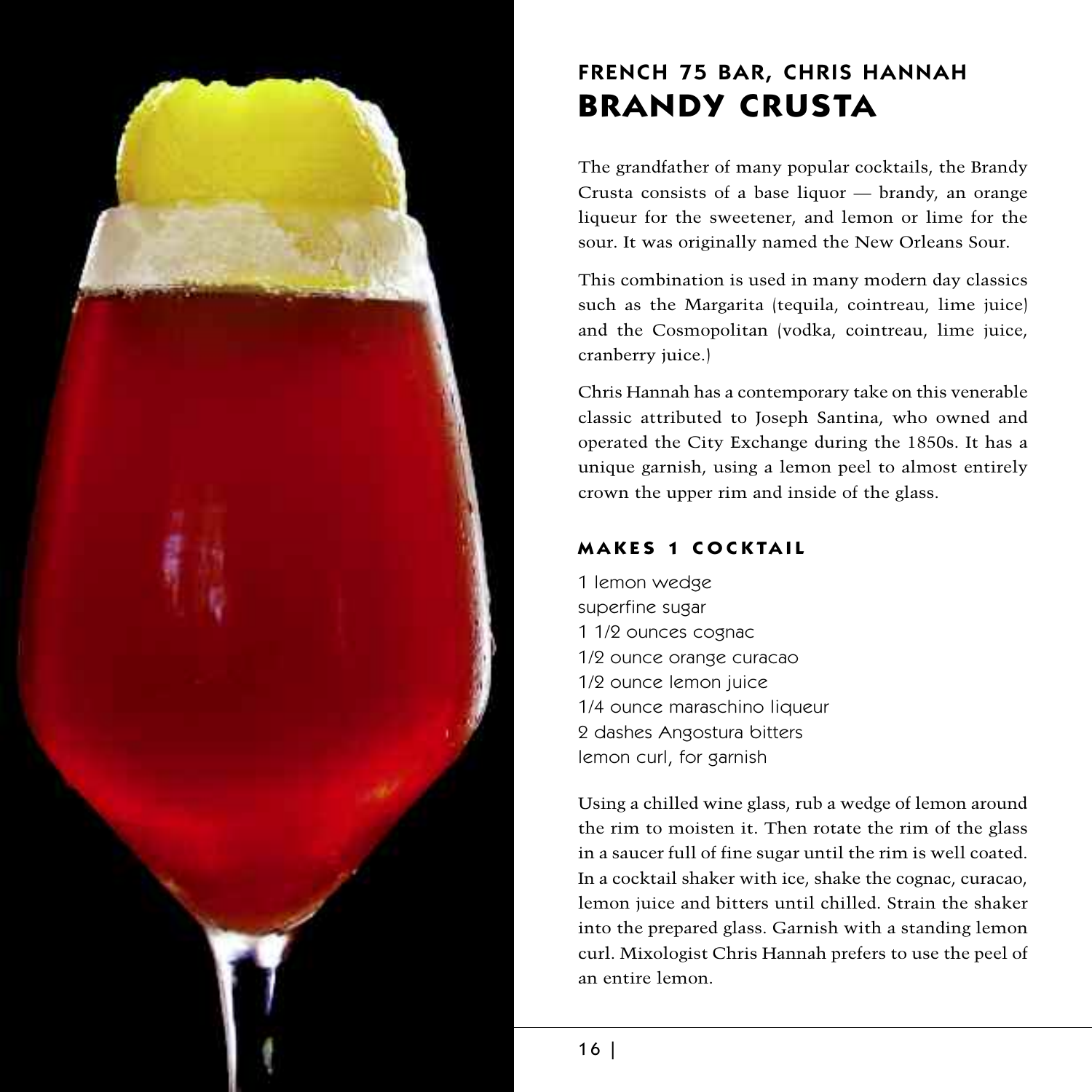

## **FRENCH 75 BAR, CHRIS HANNAH BRANDY CRUSTA**

The grandfather of many popular cocktails, the Brandy Crusta consists of a base liquor — brandy, an orange liqueur for the sweetener, and lemon or lime for the sour. It was originally named the New Orleans Sour.

This combination is used in many modern day classics such as the Margarita (tequila, cointreau, lime juice) and the Cosmopolitan (vodka, cointreau, lime juice, cranberry juice.)

Chris Hannah has a contemporary take on this venerable classic attributed to Joseph Santina, who owned and operated the City Exchange during the 1850s. It has a unique garnish, using a lemon peel to almost entirely crown the upper rim and inside of the glass.

#### **MAKES 1 COCKTAIL**

1 lemon wedge superfine sugar 1 1/2 ounces cognac 1/2 ounce orange curacao 1/2 ounce lemon juice 1/4 ounce maraschino liqueur 2 dashes Angostura bitters lemon curl, for garnish

Using a chilled wine glass, rub a wedge of lemon around the rim to moisten it. Then rotate the rim of the glass in a saucer full of fine sugar until the rim is well coated. In a cocktail shaker with ice, shake the cognac, curacao, lemon juice and bitters until chilled. Strain the shaker into the prepared glass. Garnish with a standing lemon curl. Mixologist Chris Hannah prefers to use the peel of an entire lemon.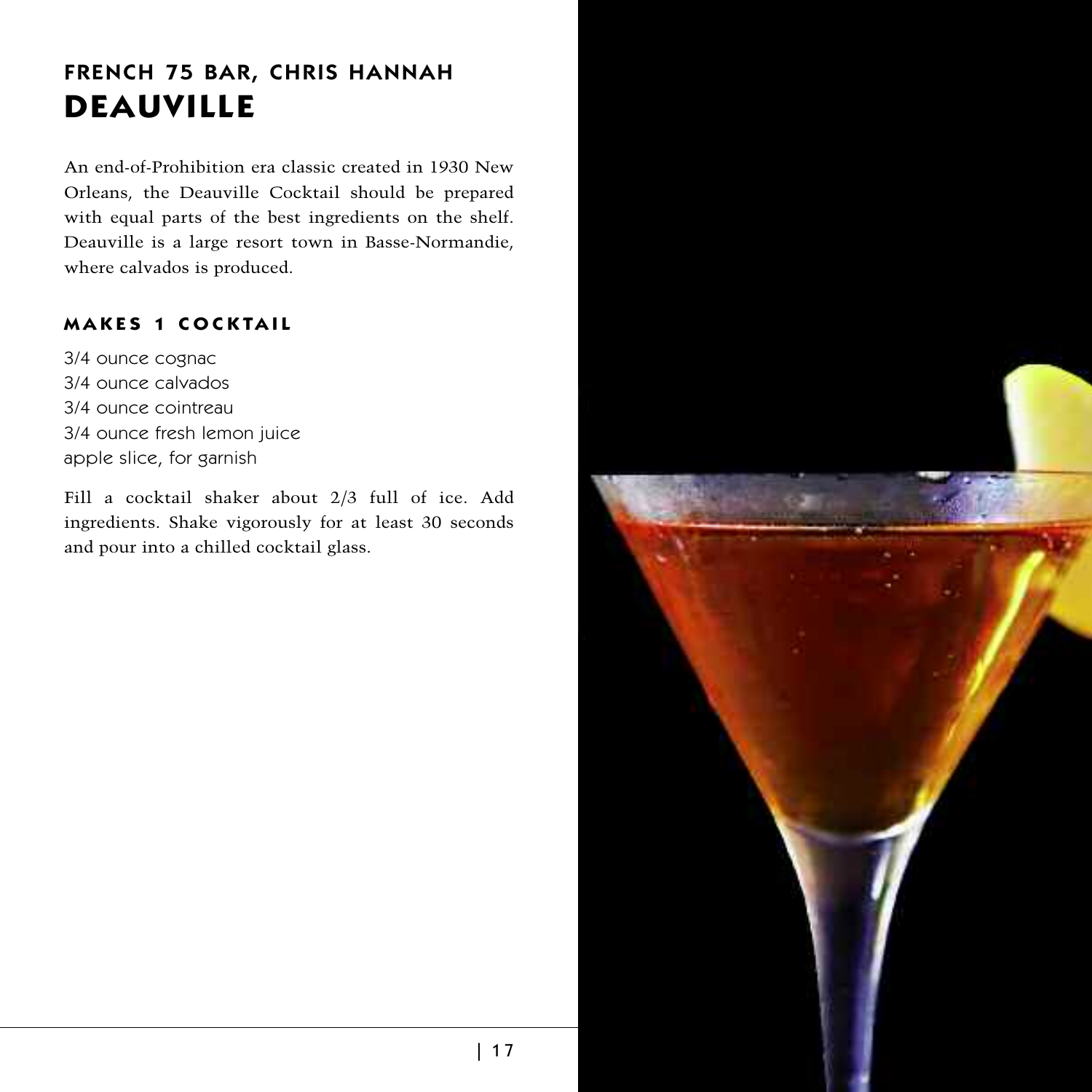## **FRENCH 75 BAR, CHRIS HANNAH DEAUVILLE**

An end-of-Prohibition era classic created in 1930 New Orleans, the Deauville Cocktail should be prepared with equal parts of the best ingredients on the shelf. Deauville is a large resort town in Basse-Normandie, where calvados is produced.

#### **MAKES 1 COCKTAIL**

3/4 ounce cognac 3/4 ounce calvados 3/4 ounce cointreau 3/4 ounce fresh lemon juice apple slice, for garnish

Fill a cocktail shaker about 2/3 full of ice. Add ingredients. Shake vigorously for at least 30 seconds and pour into a chilled cocktail glass.

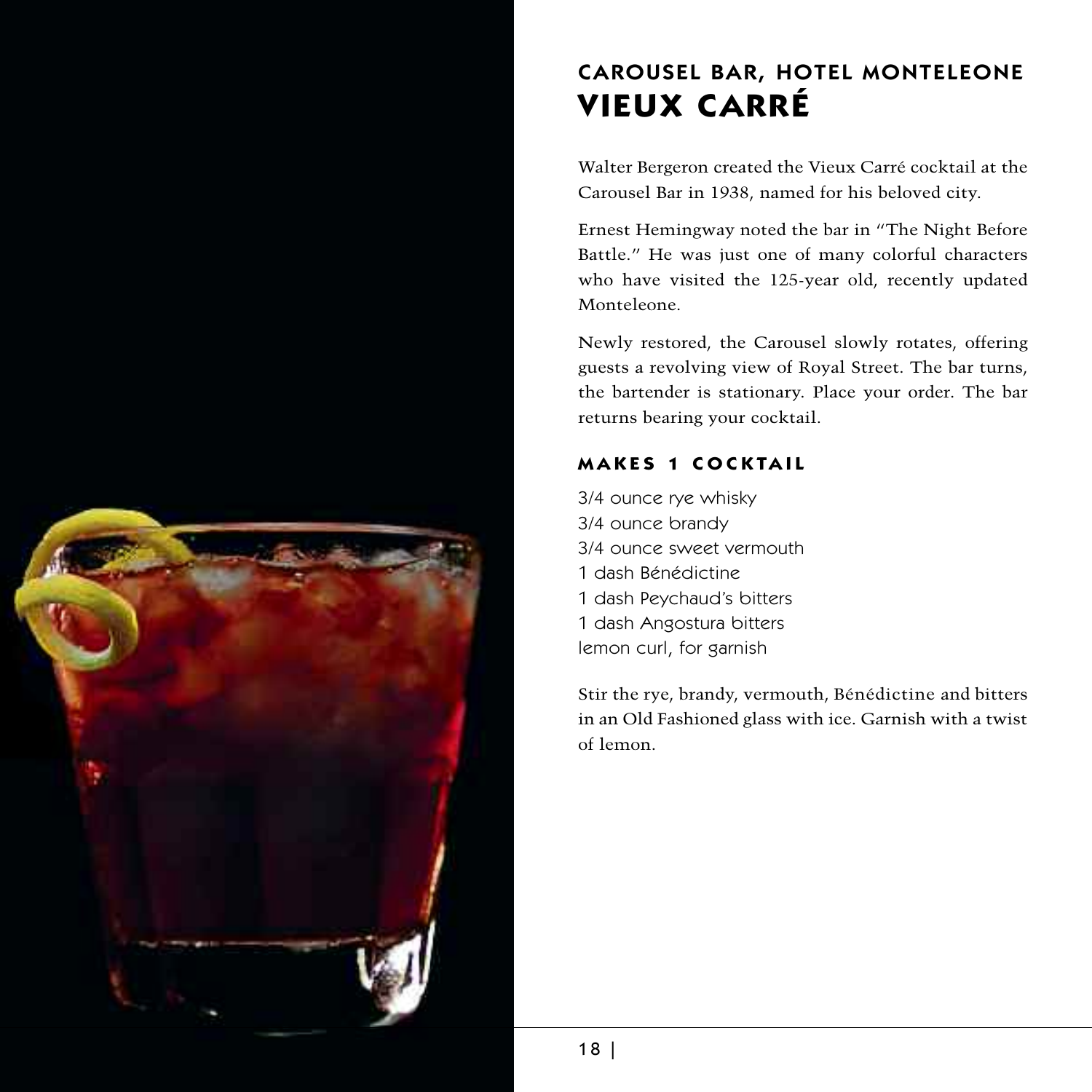

## **CAROUSEL BAR, HOTEL MONTELEONE VIEUX CARRÉ**

Walter Bergeron created the Vieux Carré cocktail at the Carousel Bar in 1938, named for his beloved city.

Ernest Hemingway noted the bar in "The Night Before Battle." He was just one of many colorful characters who have visited the 125-year old, recently updated Monteleone.

Newly restored, the Carousel slowly rotates, offering guests a revolving view of Royal Street. The bar turns, the bartender is stationary. Place your order. The bar returns bearing your cocktail.

#### **MAKES 1 COCKTAIL**

3/4 ounce rye whisky 3/4 ounce brandy 3/4 ounce sweet vermouth 1 dash Bénédictine 1 dash Peychaud's bitters 1 dash Angostura bitters lemon curl, for garnish

Stir the rye, brandy, vermouth, Bénédictine and bitters in an Old Fashioned glass with ice. Garnish with a twist of lemon.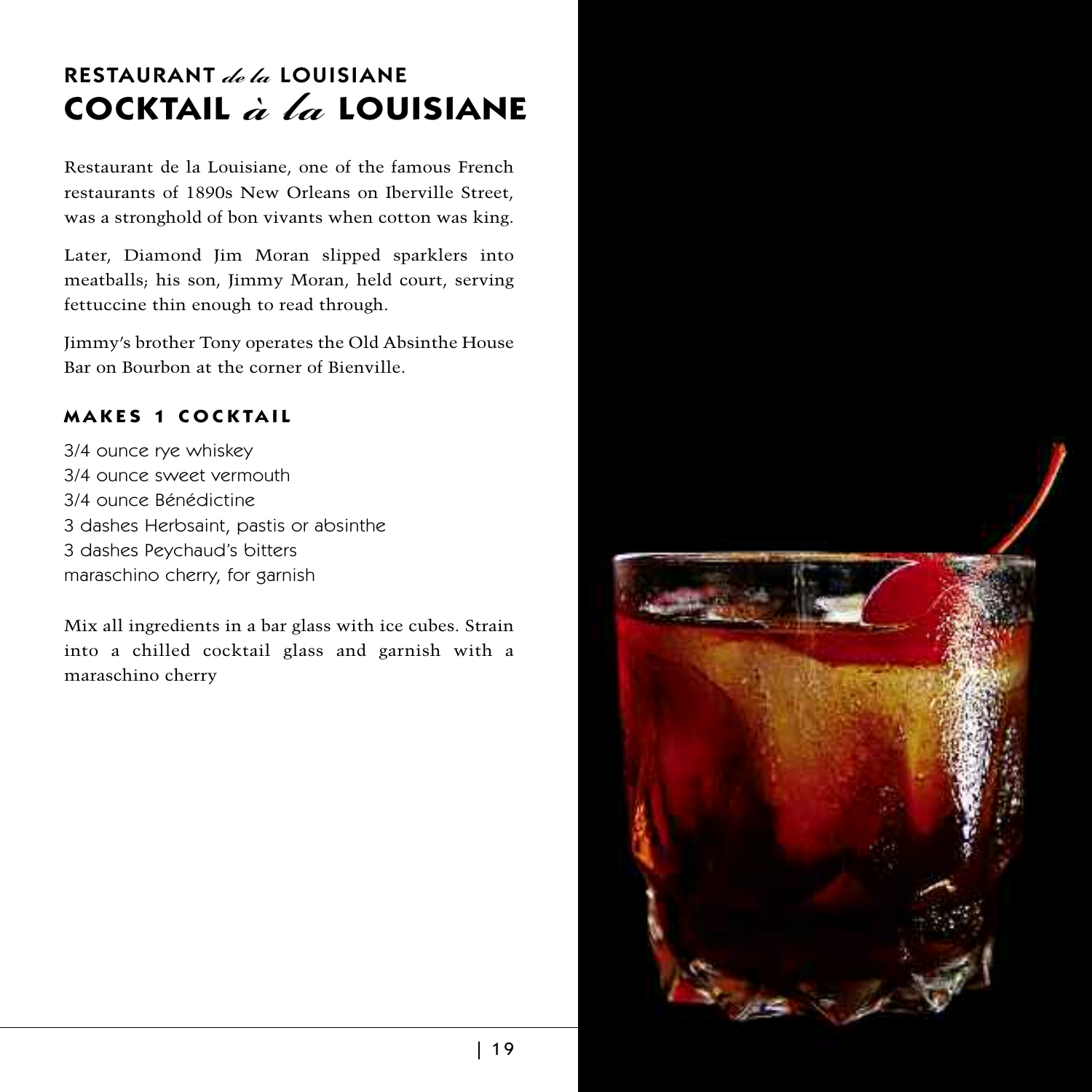## **RESTAURANT** *de la* **LOUISIANE COCKTAIL** *à la* **LOUISIANE**

Restaurant de la Louisiane, one of the famous French restaurants of 1890s New Orleans on Iberville Street, was a stronghold of bon vivants when cotton was king.

Later, Diamond Jim Moran slipped sparklers into meatballs; his son, Jimmy Moran, held court, serving fettuccine thin enough to read through.

Jimmy's brother Tony operates the Old Absinthe House Bar on Bourbon at the corner of Bienville.

#### **MAKES 1 COCKTAIL**

3/4 ounce rye whiskey 3/4 ounce sweet vermouth 3/4 ounce Bénédictine 3 dashes Herbsaint, pastis or absinthe 3 dashes Peychaud's bitters maraschino cherry, for garnish

Mix all ingredients in a bar glass with ice cubes. Strain into a chilled cocktail glass and garnish with a maraschino cherry